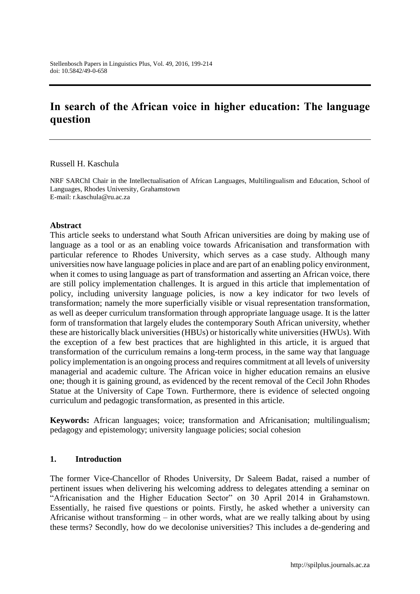# **In search of the African voice in higher education: The language question**

Russell H. Kaschula

NRF SARChI Chair in the Intellectualisation of African Languages, Multilingualism and Education, School of Languages, Rhodes University, Grahamstown E-mail: [r.kaschula@ru.ac.za](mailto:r.kaschula@ru.ac.za)

#### **Abstract**

This article seeks to understand what South African universities are doing by making use of language as a tool or as an enabling voice towards Africanisation and transformation with particular reference to Rhodes University, which serves as a case study. Although many universities now have language policies in place and are part of an enabling policy environment, when it comes to using language as part of transformation and asserting an African voice, there are still policy implementation challenges. It is argued in this article that implementation of policy, including university language policies, is now a key indicator for two levels of transformation; namely the more superficially visible or visual representation transformation, as well as deeper curriculum transformation through appropriate language usage. It is the latter form of transformation that largely eludes the contemporary South African university, whether these are historically black universities (HBUs) or historically white universities (HWUs). With the exception of a few best practices that are highlighted in this article, it is argued that transformation of the curriculum remains a long-term process, in the same way that language policy implementation is an ongoing process and requires commitment at all levels of university managerial and academic culture. The African voice in higher education remains an elusive one; though it is gaining ground, as evidenced by the recent removal of the Cecil John Rhodes Statue at the University of Cape Town. Furthermore, there is evidence of selected ongoing curriculum and pedagogic transformation, as presented in this article.

**Keywords:** African languages; voice; transformation and Africanisation; multilingualism; pedagogy and epistemology; university language policies; social cohesion

#### **1. Introduction**

The former Vice-Chancellor of Rhodes University, Dr Saleem Badat, raised a number of pertinent issues when delivering his welcoming address to delegates attending a seminar on "Africanisation and the Higher Education Sector" on 30 April 2014 in Grahamstown. Essentially, he raised five questions or points. Firstly, he asked whether a university can Africanise without transforming – in other words, what are we really talking about by using these terms? Secondly, how do we decolonise universities? This includes a de-gendering and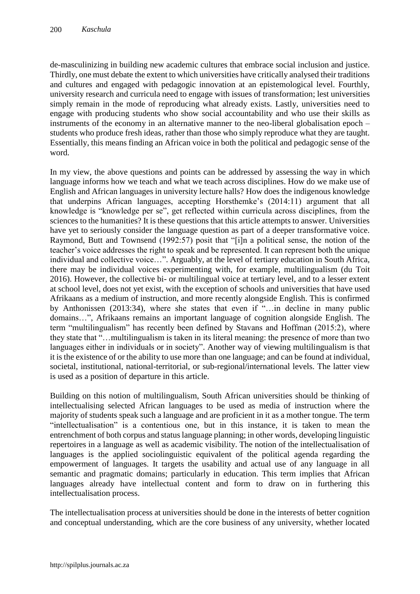de-masculinizing in building new academic cultures that embrace social inclusion and justice. Thirdly, one must debate the extent to which universities have critically analysed their traditions and cultures and engaged with pedagogic innovation at an epistemological level. Fourthly, university research and curricula need to engage with issues of transformation; lest universities simply remain in the mode of reproducing what already exists. Lastly, universities need to engage with producing students who show social accountability and who use their skills as instruments of the economy in an alternative manner to the neo-liberal globalisation epoch – students who produce fresh ideas, rather than those who simply reproduce what they are taught. Essentially, this means finding an African voice in both the political and pedagogic sense of the word.

In my view, the above questions and points can be addressed by assessing the way in which language informs how we teach and what we teach across disciplines. How do we make use of English and African languages in university lecture halls? How does the indigenous knowledge that underpins African languages, accepting Horsthemke's (2014:11) argument that all knowledge is "knowledge per se", get reflected within curricula across disciplines, from the sciences to the humanities? It is these questions that this article attempts to answer. Universities have yet to seriously consider the language question as part of a deeper transformative voice. Raymond, Butt and Townsend (1992:57) posit that "[i]n a political sense, the notion of the teacher's voice addresses the right to speak and be represented. It can represent both the unique individual and collective voice…". Arguably, at the level of tertiary education in South Africa, there may be individual voices experimenting with, for example, multilingualism (du Toit 2016). However, the collective bi- or multilingual voice at tertiary level, and to a lesser extent at school level, does not yet exist, with the exception of schools and universities that have used Afrikaans as a medium of instruction, and more recently alongside English. This is confirmed by Anthonissen (2013:34), where she states that even if "…in decline in many public domains…", Afrikaans remains an important language of cognition alongside English. The term "multilingualism" has recently been defined by Stavans and Hoffman (2015:2), where they state that "…multilingualism is taken in its literal meaning: the presence of more than two languages either in individuals or in society". Another way of viewing multilingualism is that it is the existence of or the ability to use more than one language; and can be found at individual, societal, institutional, national-territorial, or sub-regional/international levels. The latter view is used as a position of departure in this article.

Building on this notion of multilingualism, South African universities should be thinking of intellectualising selected African languages to be used as media of instruction where the majority of students speak such a language and are proficient in it as a mother tongue. The term "intellectualisation" is a contentious one, but in this instance, it is taken to mean the entrenchment of both corpus and status language planning; in other words, developing linguistic repertoires in a language as well as academic visibility. The notion of the intellectualisation of languages is the applied sociolinguistic equivalent of the political agenda regarding the empowerment of languages. It targets the usability and actual use of any language in all semantic and pragmatic domains; particularly in education. This term implies that African languages already have intellectual content and form to draw on in furthering this intellectualisation process.

The intellectualisation process at universities should be done in the interests of better cognition and conceptual understanding, which are the core business of any university, whether located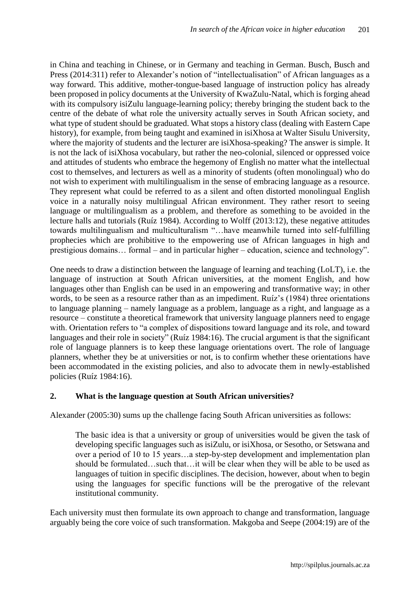in China and teaching in Chinese, or in Germany and teaching in German. Busch, Busch and Press (2014:311) refer to Alexander's notion of "intellectualisation" of African languages as a way forward. This additive, mother-tongue-based language of instruction policy has already been proposed in policy documents at the University of KwaZulu-Natal, which is forging ahead with its compulsory isiZulu language-learning policy; thereby bringing the student back to the centre of the debate of what role the university actually serves in South African society, and what type of student should be graduated. What stops a history class (dealing with Eastern Cape history), for example, from being taught and examined in isiXhosa at Walter Sisulu University, where the majority of students and the lecturer are isiXhosa-speaking? The answer is simple. It is not the lack of isiXhosa vocabulary, but rather the neo-colonial, silenced or oppressed voice and attitudes of students who embrace the hegemony of English no matter what the intellectual cost to themselves, and lecturers as well as a minority of students (often monolingual) who do not wish to experiment with multilingualism in the sense of embracing language as a resource. They represent what could be referred to as a silent and often distorted monolingual English voice in a naturally noisy multilingual African environment. They rather resort to seeing language or multilingualism as a problem, and therefore as something to be avoided in the lecture halls and tutorials (Ruíz 1984). According to Wolff (2013:12), these negative attitudes towards multilingualism and multiculturalism "…have meanwhile turned into self-fulfilling prophecies which are prohibitive to the empowering use of African languages in high and prestigious domains… formal – and in particular higher – education, science and technology".

One needs to draw a distinction between the language of learning and teaching (LoLT), i.e. the language of instruction at South African universities, at the moment English, and how languages other than English can be used in an empowering and transformative way; in other words, to be seen as a resource rather than as an impediment. Ruíz's (1984) three orientations to language planning – namely language as a problem, language as a right, and language as a resource – constitute a theoretical framework that university language planners need to engage with. Orientation refers to "a complex of dispositions toward language and its role, and toward languages and their role in society" (Ruíz 1984:16). The crucial argument is that the significant role of language planners is to keep these language orientations overt. The role of language planners, whether they be at universities or not, is to confirm whether these orientations have been accommodated in the existing policies, and also to advocate them in newly-established policies (Ruíz 1984:16).

## **2. What is the language question at South African universities?**

Alexander (2005:30) sums up the challenge facing South African universities as follows:

The basic idea is that a university or group of universities would be given the task of developing specific languages such as isiZulu, or isiXhosa, or Sesotho, or Setswana and over a period of 10 to 15 years…a step-by-step development and implementation plan should be formulated…such that…it will be clear when they will be able to be used as languages of tuition in specific disciplines. The decision, however, about when to begin using the languages for specific functions will be the prerogative of the relevant institutional community.

Each university must then formulate its own approach to change and transformation, language arguably being the core voice of such transformation. Makgoba and Seepe (2004:19) are of the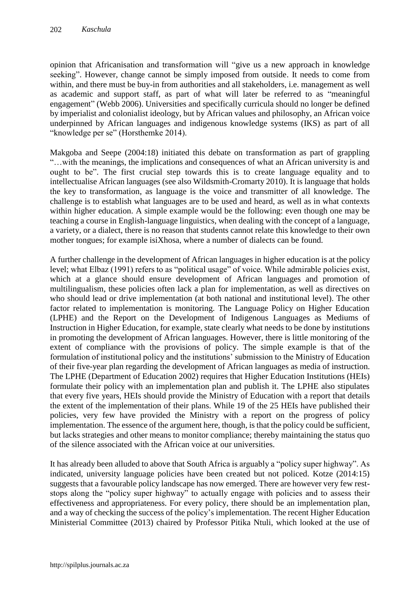opinion that Africanisation and transformation will "give us a new approach in knowledge seeking". However, change cannot be simply imposed from outside. It needs to come from within, and there must be buy-in from authorities and all stakeholders, i.e. management as well as academic and support staff, as part of what will later be referred to as "meaningful engagement" (Webb 2006). Universities and specifically curricula should no longer be defined by imperialist and colonialist ideology, but by African values and philosophy, an African voice underpinned by African languages and indigenous knowledge systems (IKS) as part of all "knowledge per se" (Horsthemke 2014).

Makgoba and Seepe (2004:18) initiated this debate on transformation as part of grappling "…with the meanings, the implications and consequences of what an African university is and ought to be". The first crucial step towards this is to create language equality and to intellectualise African languages (see also Wildsmith-Cromarty 2010). It is language that holds the key to transformation, as language is the voice and transmitter of all knowledge. The challenge is to establish what languages are to be used and heard, as well as in what contexts within higher education. A simple example would be the following: even though one may be teaching a course in English-language linguistics, when dealing with the concept of a language, a variety, or a dialect, there is no reason that students cannot relate this knowledge to their own mother tongues; for example isiXhosa, where a number of dialects can be found.

A further challenge in the development of African languages in higher education is at the policy level; what Elbaz (1991) refers to as "political usage" of voice. While admirable policies exist, which at a glance should ensure development of African languages and promotion of multilingualism, these policies often lack a plan for implementation, as well as directives on who should lead or drive implementation (at both national and institutional level). The other factor related to implementation is monitoring. The Language Policy on Higher Education (LPHE) and the Report on the Development of Indigenous Languages as Mediums of Instruction in Higher Education, for example, state clearly what needs to be done by institutions in promoting the development of African languages. However, there is little monitoring of the extent of compliance with the provisions of policy. The simple example is that of the formulation of institutional policy and the institutions' submission to the Ministry of Education of their five-year plan regarding the development of African languages as media of instruction. The LPHE (Department of Education 2002) requires that Higher Education Institutions (HEIs) formulate their policy with an implementation plan and publish it. The LPHE also stipulates that every five years, HEIs should provide the Ministry of Education with a report that details the extent of the implementation of their plans. While 19 of the 25 HEIs have published their policies, very few have provided the Ministry with a report on the progress of policy implementation. The essence of the argument here, though, is that the policy could be sufficient, but lacks strategies and other means to monitor compliance; thereby maintaining the status quo of the silence associated with the African voice at our universities.

It has already been alluded to above that South Africa is arguably a "policy super highway". As indicated, university language policies have been created but not policed. Kotze (2014:15) suggests that a favourable policy landscape has now emerged. There are however very few reststops along the "policy super highway" to actually engage with policies and to assess their effectiveness and appropriateness. For every policy, there should be an implementation plan, and a way of checking the success of the policy's implementation. The recent Higher Education Ministerial Committee (2013) chaired by Professor Pitika Ntuli, which looked at the use of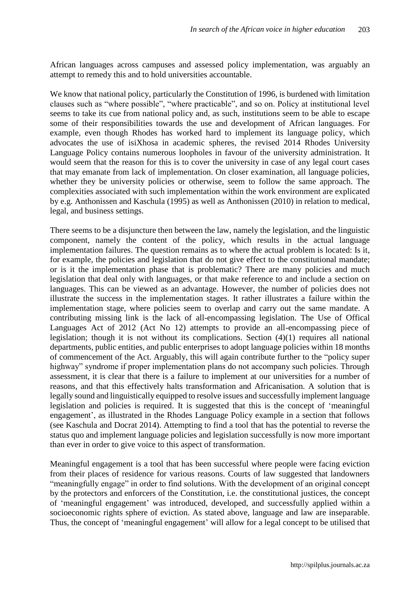African languages across campuses and assessed policy implementation, was arguably an attempt to remedy this and to hold universities accountable.

We know that national policy, particularly the Constitution of 1996, is burdened with limitation clauses such as "where possible", "where practicable", and so on. Policy at institutional level seems to take its cue from national policy and, as such, institutions seem to be able to escape some of their responsibilities towards the use and development of African languages. For example, even though Rhodes has worked hard to implement its language policy, which advocates the use of isiXhosa in academic spheres, the revised 2014 Rhodes University Language Policy contains numerous loopholes in favour of the university administration. It would seem that the reason for this is to cover the university in case of any legal court cases that may emanate from lack of implementation. On closer examination, all language policies, whether they be university policies or otherwise, seem to follow the same approach. The complexities associated with such implementation within the work environment are explicated by e.g. Anthonissen and Kaschula (1995) as well as Anthonissen (2010) in relation to medical, legal, and business settings.

There seems to be a disjuncture then between the law, namely the legislation, and the linguistic component, namely the content of the policy, which results in the actual language implementation failures. The question remains as to where the actual problem is located: Is it, for example, the policies and legislation that do not give effect to the constitutional mandate; or is it the implementation phase that is problematic? There are many policies and much legislation that deal only with languages, or that make reference to and include a section on languages. This can be viewed as an advantage. However, the number of policies does not illustrate the success in the implementation stages. It rather illustrates a failure within the implementation stage, where policies seem to overlap and carry out the same mandate. A contributing missing link is the lack of all-encompassing legislation. The Use of Offical Languages Act of 2012 (Act No 12) attempts to provide an all-encompassing piece of legislation; though it is not without its complications. Section (4)(1) requires all national departments, public entities, and public enterprises to adopt language policies within 18 months of commencement of the Act. Arguably, this will again contribute further to the "policy super highway" syndrome if proper implementation plans do not accompany such policies. Through assessment, it is clear that there is a failure to implement at our universities for a number of reasons, and that this effectively halts transformation and Africanisation. A solution that is legally sound and linguistically equipped to resolve issues and successfully implement language legislation and policies is required. It is suggested that this is the concept of 'meaningful engagement', as illustrated in the Rhodes Language Policy example in a section that follows (see Kaschula and Docrat 2014). Attempting to find a tool that has the potential to reverse the status quo and implement language policies and legislation successfully is now more important than ever in order to give voice to this aspect of transformation.

Meaningful engagement is a tool that has been successful where people were facing eviction from their places of residence for various reasons. Courts of law suggested that landowners "meaningfully engage" in order to find solutions. With the development of an original concept by the protectors and enforcers of the Constitution, i.e. the constitutional justices, the concept of 'meaningful engagement' was introduced, developed, and successfully applied within a socioeconomic rights sphere of eviction. As stated above, language and law are inseparable. Thus, the concept of 'meaningful engagement' will allow for a legal concept to be utilised that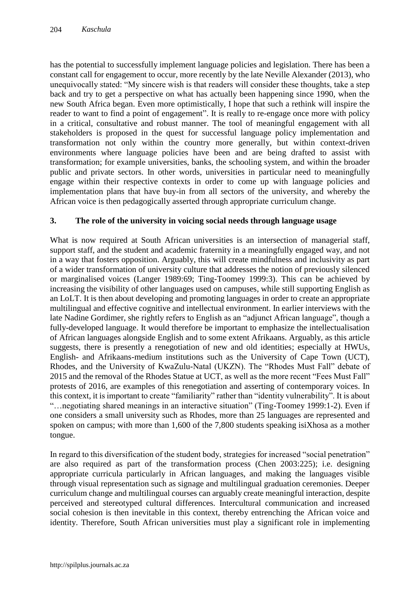has the potential to successfully implement language policies and legislation. There has been a constant call for engagement to occur, more recently by the late Neville Alexander (2013), who unequivocally stated: "My sincere wish is that readers will consider these thoughts, take a step back and try to get a perspective on what has actually been happening since 1990, when the new South Africa began. Even more optimistically, I hope that such a rethink will inspire the reader to want to find a point of engagement". It is really to re-engage once more with policy in a critical, consultative and robust manner. The tool of meaningful engagement with all stakeholders is proposed in the quest for successful language policy implementation and transformation not only within the country more generally, but within context-driven environments where language policies have been and are being drafted to assist with transformation; for example universities, banks, the schooling system, and within the broader public and private sectors. In other words, universities in particular need to meaningfully engage within their respective contexts in order to come up with language policies and implementation plans that have buy-in from all sectors of the university, and whereby the African voice is then pedagogically asserted through appropriate curriculum change.

## **3. The role of the university in voicing social needs through language usage**

What is now required at South African universities is an intersection of managerial staff, support staff, and the student and academic fraternity in a meaningfully engaged way, and not in a way that fosters opposition. Arguably, this will create mindfulness and inclusivity as part of a wider transformation of university culture that addresses the notion of previously silenced or marginalised voices (Langer 1989:69; Ting-Toomey 1999:3). This can be achieved by increasing the visibility of other languages used on campuses, while still supporting English as an LoLT. It is then about developing and promoting languages in order to create an appropriate multilingual and effective cognitive and intellectual environment. In earlier interviews with the late Nadine Gordimer, she rightly refers to English as an "adjunct African language", though a fully-developed language. It would therefore be important to emphasize the intellectualisation of African languages alongside English and to some extent Afrikaans. Arguably, as this article suggests, there is presently a renegotiation of new and old identities; especially at HWUs, English- and Afrikaans-medium institutions such as the University of Cape Town (UCT), Rhodes, and the University of KwaZulu-Natal (UKZN). The "Rhodes Must Fall" debate of 2015 and the removal of the Rhodes Statue at UCT, as well as the more recent "Fees Must Fall" protests of 2016, are examples of this renegotiation and asserting of contemporary voices. In this context, it is important to create "familiarity" rather than "identity vulnerability". It is about "…negotiating shared meanings in an interactive situation" (Ting-Toomey 1999:1-2). Even if one considers a small university such as Rhodes, more than 25 languages are represented and spoken on campus; with more than 1,600 of the 7,800 students speaking isiXhosa as a mother tongue.

In regard to this diversification of the student body, strategies for increased "social penetration" are also required as part of the transformation process (Chen 2003:225); i.e. designing appropriate curricula particularly in African languages, and making the languages visible through visual representation such as signage and multilingual graduation ceremonies. Deeper curriculum change and multilingual courses can arguably create meaningful interaction, despite perceived and stereotyped cultural differences. Intercultural communication and increased social cohesion is then inevitable in this context, thereby entrenching the African voice and identity. Therefore, South African universities must play a significant role in implementing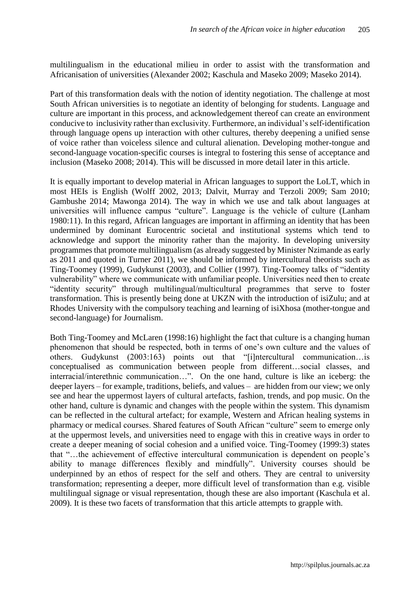multilingualism in the educational milieu in order to assist with the transformation and Africanisation of universities (Alexander 2002; Kaschula and Maseko 2009; Maseko 2014).

Part of this transformation deals with the notion of identity negotiation. The challenge at most South African universities is to negotiate an identity of belonging for students. Language and culture are important in this process, and acknowledgement thereof can create an environment conducive to inclusivity rather than exclusivity. Furthermore, an individual's self-identification through language opens up interaction with other cultures, thereby deepening a unified sense of voice rather than voiceless silence and cultural alienation. Developing mother-tongue and second-language vocation-specific courses is integral to fostering this sense of acceptance and inclusion (Maseko 2008; 2014). This will be discussed in more detail later in this article.

It is equally important to develop material in African languages to support the LoLT, which in most HEIs is English (Wolff 2002, 2013; Dalvit, Murray and Terzoli 2009; Sam 2010; Gambushe 2014; Mawonga 2014). The way in which we use and talk about languages at universities will influence campus "culture". Language is the vehicle of culture (Lanham 1980:11). In this regard, African languages are important in affirming an identity that has been undermined by dominant Eurocentric societal and institutional systems which tend to acknowledge and support the minority rather than the majority. In developing university programmes that promote multilingualism (as already suggested by Minister Nzimande as early as 2011 and quoted in Turner 2011), we should be informed by intercultural theorists such as Ting-Toomey (1999), Gudykunst (2003), and Collier (1997). Ting-Toomey talks of "identity vulnerability" where we communicate with unfamiliar people. Universities need then to create "identity security" through multilingual/multicultural programmes that serve to foster transformation. This is presently being done at UKZN with the introduction of isiZulu; and at Rhodes University with the compulsory teaching and learning of isiXhosa (mother-tongue and second-language) for Journalism.

Both Ting-Toomey and McLaren (1998:16) highlight the fact that culture is a changing human phenomenon that should be respected, both in terms of one's own culture and the values of others. Gudykunst (2003:163) points out that "[i]ntercultural communication…is conceptualised as communication between people from different…social classes, and interracial/interethnic communication…". On the one hand, culture is like an iceberg: the deeper layers – for example, traditions, beliefs, and values – are hidden from our view; we only see and hear the uppermost layers of cultural artefacts, fashion, trends, and pop music. On the other hand, culture is dynamic and changes with the people within the system. This dynamism can be reflected in the cultural artefact; for example, Western and African healing systems in pharmacy or medical courses. Shared features of South African "culture" seem to emerge only at the uppermost levels, and universities need to engage with this in creative ways in order to create a deeper meaning of social cohesion and a unified voice. Ting-Toomey (1999:3) states that "…the achievement of effective intercultural communication is dependent on people's ability to manage differences flexibly and mindfully". University courses should be underpinned by an ethos of respect for the self and others. They are central to university transformation; representing a deeper, more difficult level of transformation than e.g. visible multilingual signage or visual representation, though these are also important (Kaschula et al. 2009). It is these two facets of transformation that this article attempts to grapple with.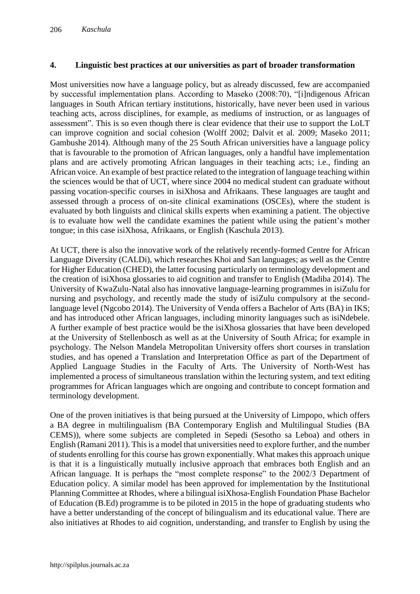#### **4. Linguistic best practices at our universities as part of broader transformation**

Most universities now have a language policy, but as already discussed, few are accompanied by successful implementation plans. According to Maseko (2008:70), "[i]ndigenous African languages in South African tertiary institutions, historically, have never been used in various teaching acts, across disciplines, for example, as mediums of instruction, or as languages of assessment". This is so even though there is clear evidence that their use to support the LoLT can improve cognition and social cohesion (Wolff 2002; Dalvit et al. 2009; Maseko 2011; Gambushe 2014). Although many of the 25 South African universities have a language policy that is favourable to the promotion of African languages, only a handful have implementation plans and are actively promoting African languages in their teaching acts; i.e., finding an African voice. An example of best practice related to the integration of language teaching within the sciences would be that of UCT, where since 2004 no medical student can graduate without passing vocation-specific courses in isiXhosa and Afrikaans. These languages are taught and assessed through a process of on-site clinical examinations (OSCEs), where the student is evaluated by both linguists and clinical skills experts when examining a patient. The objective is to evaluate how well the candidate examines the patient while using the patient's mother tongue; in this case isiXhosa, Afrikaans, or English (Kaschula 2013).

At UCT, there is also the innovative work of the relatively recently-formed Centre for African Language Diversity (CALDi), which researches Khoi and San languages; as well as the Centre for Higher Education (CHED), the latter focusing particularly on terminology development and the creation of isiXhosa glossaries to aid cognition and transfer to English (Madiba 2014). The University of KwaZulu-Natal also has innovative language-learning programmes in isiZulu for nursing and psychology, and recently made the study of isiZulu compulsory at the secondlanguage level (Ngcobo 2014). The University of Venda offers a Bachelor of Arts (BA) in IKS; and has introduced other African languages, including minority languages such as isiNdebele. A further example of best practice would be the isiXhosa glossaries that have been developed at the University of Stellenbosch as well as at the University of South Africa; for example in psychology. The Nelson Mandela Metropolitan University offers short courses in translation studies, and has opened a Translation and Interpretation Office as part of the Department of Applied Language Studies in the Faculty of Arts. The University of North-West has implemented a process of simultaneous translation within the lecturing system, and text editing programmes for African languages which are ongoing and contribute to concept formation and terminology development.

One of the proven initiatives is that being pursued at the University of Limpopo, which offers a BA degree in multilingualism (BA Contemporary English and Multilingual Studies (BA CEMS)), where some subjects are completed in Sepedi (Sesotho sa Leboa) and others in English (Ramani 2011). This is a model that universities need to explore further, and the number of students enrolling for this course has grown exponentially. What makes this approach unique is that it is a linguistically mutually inclusive approach that embraces both English and an African language. It is perhaps the "most complete response" to the 2002/3 Department of Education policy. A similar model has been approved for implementation by the Institutional Planning Committee at Rhodes, where a bilingual isiXhosa-English Foundation Phase Bachelor of Education (B.Ed) programme is to be piloted in 2015 in the hope of graduating students who have a better understanding of the concept of bilingualism and its educational value. There are also initiatives at Rhodes to aid cognition, understanding, and transfer to English by using the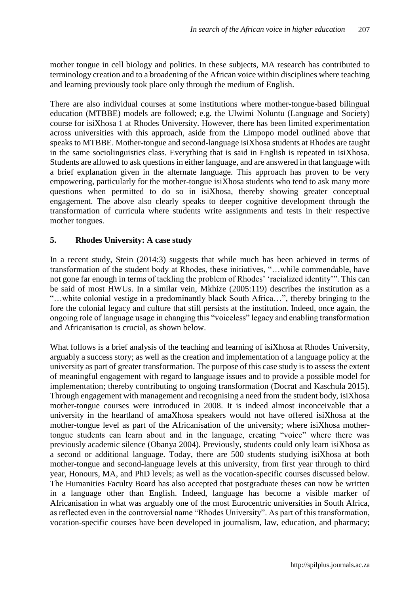mother tongue in cell biology and politics. In these subjects, MA research has contributed to terminology creation and to a broadening of the African voice within disciplines where teaching and learning previously took place only through the medium of English.

There are also individual courses at some institutions where mother-tongue-based bilingual education (MTBBE) models are followed; e.g. the Ulwimi Noluntu (Language and Society) course for isiXhosa 1 at Rhodes University. However, there has been limited experimentation across universities with this approach, aside from the Limpopo model outlined above that speaks to MTBBE. Mother-tongue and second-language isiXhosa students at Rhodes are taught in the same sociolinguistics class. Everything that is said in English is repeated in isiXhosa. Students are allowed to ask questions in either language, and are answered in that language with a brief explanation given in the alternate language. This approach has proven to be very empowering, particularly for the mother-tongue isiXhosa students who tend to ask many more questions when permitted to do so in isiXhosa, thereby showing greater conceptual engagement. The above also clearly speaks to deeper cognitive development through the transformation of curricula where students write assignments and tests in their respective mother tongues.

## **5. Rhodes University: A case study**

In a recent study, Stein (2014:3) suggests that while much has been achieved in terms of transformation of the student body at Rhodes, these initiatives, "…while commendable, have not gone far enough in terms of tackling the problem of Rhodes' 'racialized identity'". This can be said of most HWUs. In a similar vein, Mkhize (2005:119) describes the institution as a "…white colonial vestige in a predominantly black South Africa…", thereby bringing to the fore the colonial legacy and culture that still persists at the institution. Indeed, once again, the ongoing role of language usage in changing this "voiceless" legacy and enabling transformation and Africanisation is crucial, as shown below.

What follows is a brief analysis of the teaching and learning of isiXhosa at Rhodes University, arguably a success story; as well as the creation and implementation of a language policy at the university as part of greater transformation. The purpose of this case study is to assess the extent of meaningful engagement with regard to language issues and to provide a possible model for implementation; thereby contributing to ongoing transformation (Docrat and Kaschula 2015). Through engagement with management and recognising a need from the student body, isiXhosa mother-tongue courses were introduced in 2008. It is indeed almost inconceivable that a university in the heartland of amaXhosa speakers would not have offered isiXhosa at the mother-tongue level as part of the Africanisation of the university; where isiXhosa mothertongue students can learn about and in the language, creating "voice" where there was previously academic silence (Obanya 2004). Previously, students could only learn isiXhosa as a second or additional language. Today, there are 500 students studying isiXhosa at both mother-tongue and second-language levels at this university, from first year through to third year, Honours, MA, and PhD levels; as well as the vocation-specific courses discussed below. The Humanities Faculty Board has also accepted that postgraduate theses can now be written in a language other than English. Indeed, language has become a visible marker of Africanisation in what was arguably one of the most Eurocentric universities in South Africa, as reflected even in the controversial name "Rhodes University". As part of this transformation, vocation-specific courses have been developed in journalism, law, education, and pharmacy;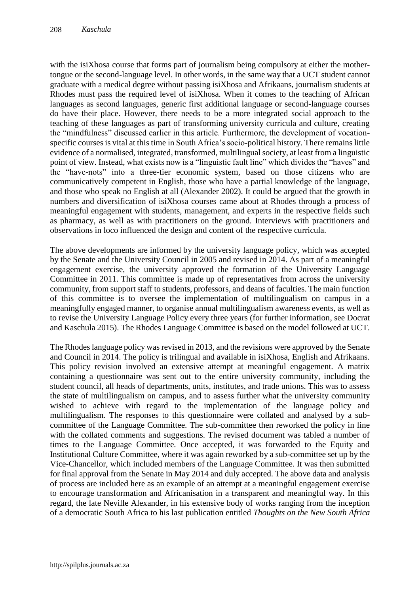with the isiXhosa course that forms part of journalism being compulsory at either the mothertongue or the second-language level. In other words, in the same way that a UCT student cannot graduate with a medical degree without passing isiXhosa and Afrikaans, journalism students at Rhodes must pass the required level of isiXhosa. When it comes to the teaching of African languages as second languages, generic first additional language or second-language courses do have their place. However, there needs to be a more integrated social approach to the teaching of these languages as part of transforming university curricula and culture, creating the "mindfulness" discussed earlier in this article. Furthermore, the development of vocationspecific courses is vital at this time in South Africa's socio-political history. There remains little evidence of a normalised, integrated, transformed, multilingual society, at least from a linguistic point of view. Instead, what exists now is a "linguistic fault line" which divides the "haves" and the "have-nots" into a three-tier economic system, based on those citizens who are communicatively competent in English, those who have a partial knowledge of the language, and those who speak no English at all (Alexander 2002). It could be argued that the growth in numbers and diversification of isiXhosa courses came about at Rhodes through a process of meaningful engagement with students, management, and experts in the respective fields such as pharmacy, as well as with practitioners on the ground. Interviews with practitioners and observations in loco influenced the design and content of the respective curricula.

The above developments are informed by the university language policy, which was accepted by the Senate and the University Council in 2005 and revised in 2014. As part of a meaningful engagement exercise, the university approved the formation of the University Language Committee in 2011. This committee is made up of representatives from across the university community, from support staff to students, professors, and deans of faculties. The main function of this committee is to oversee the implementation of multilingualism on campus in a meaningfully engaged manner, to organise annual multilingualism awareness events, as well as to revise the University Language Policy every three years (for further information, see Docrat and Kaschula 2015). The Rhodes Language Committee is based on the model followed at UCT.

The Rhodes language policy was revised in 2013, and the revisions were approved by the Senate and Council in 2014. The policy is trilingual and available in isiXhosa, English and Afrikaans. This policy revision involved an extensive attempt at meaningful engagement. A matrix containing a questionnaire was sent out to the entire university community, including the student council, all heads of departments, units, institutes, and trade unions. This was to assess the state of multilingualism on campus, and to assess further what the university community wished to achieve with regard to the implementation of the language policy and multilingualism. The responses to this questionnaire were collated and analysed by a subcommittee of the Language Committee. The sub-committee then reworked the policy in line with the collated comments and suggestions. The revised document was tabled a number of times to the Language Committee. Once accepted, it was forwarded to the Equity and Institutional Culture Committee, where it was again reworked by a sub-committee set up by the Vice-Chancellor, which included members of the Language Committee. It was then submitted for final approval from the Senate in May 2014 and duly accepted. The above data and analysis of process are included here as an example of an attempt at a meaningful engagement exercise to encourage transformation and Africanisation in a transparent and meaningful way. In this regard, the late Neville Alexander, in his extensive body of works ranging from the inception of a democratic South Africa to his last publication entitled *Thoughts on the New South Africa*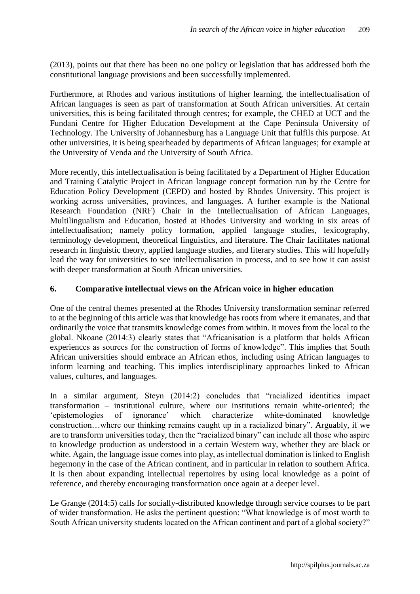(2013), points out that there has been no one policy or legislation that has addressed both the constitutional language provisions and been successfully implemented.

Furthermore, at Rhodes and various institutions of higher learning, the intellectualisation of African languages is seen as part of transformation at South African universities. At certain universities, this is being facilitated through centres; for example, the CHED at UCT and the Fundani Centre for Higher Education Development at the Cape Peninsula University of Technology. The University of Johannesburg has a Language Unit that fulfils this purpose. At other universities, it is being spearheaded by departments of African languages; for example at the University of Venda and the University of South Africa.

More recently, this intellectualisation is being facilitated by a Department of Higher Education and Training Catalytic Project in African language concept formation run by the Centre for Education Policy Development (CEPD) and hosted by Rhodes University. This project is working across universities, provinces, and languages. A further example is the National Research Foundation (NRF) Chair in the Intellectualisation of African Languages, Multilingualism and Education, hosted at Rhodes University and working in six areas of intellectualisation; namely policy formation, applied language studies, lexicography, terminology development, theoretical linguistics, and literature. The Chair facilitates national research in linguistic theory, applied language studies, and literary studies. This will hopefully lead the way for universities to see intellectualisation in process, and to see how it can assist with deeper transformation at South African universities.

# **6. Comparative intellectual views on the African voice in higher education**

One of the central themes presented at the Rhodes University transformation seminar referred to at the beginning of this article was that knowledge has roots from where it emanates, and that ordinarily the voice that transmits knowledge comes from within. It moves from the local to the global. Nkoane (2014:3) clearly states that "Africanisation is a platform that holds African experiences as sources for the construction of forms of knowledge". This implies that South African universities should embrace an African ethos, including using African languages to inform learning and teaching. This implies interdisciplinary approaches linked to African values, cultures, and languages.

In a similar argument, Steyn (2014:2) concludes that "racialized identities impact transformation – institutional culture, where our institutions remain white-oriented; the 'epistemologies of ignorance' which characterize white-dominated knowledge construction…where our thinking remains caught up in a racialized binary". Arguably, if we are to transform universities today, then the "racialized binary" can include all those who aspire to knowledge production as understood in a certain Western way, whether they are black or white. Again, the language issue comes into play, as intellectual domination is linked to English hegemony in the case of the African continent, and in particular in relation to southern Africa. It is then about expanding intellectual repertoires by using local knowledge as a point of reference, and thereby encouraging transformation once again at a deeper level.

Le Grange (2014:5) calls for socially-distributed knowledge through service courses to be part of wider transformation. He asks the pertinent question: "What knowledge is of most worth to South African university students located on the African continent and part of a global society?"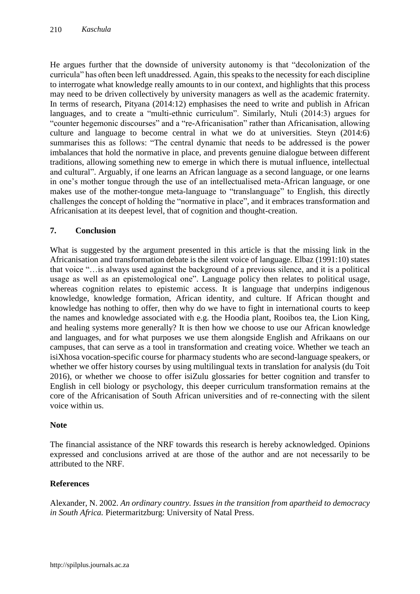He argues further that the downside of university autonomy is that "decolonization of the curricula" has often been left unaddressed. Again, this speaks to the necessity for each discipline to interrogate what knowledge really amounts to in our context, and highlights that this process may need to be driven collectively by university managers as well as the academic fraternity. In terms of research, Pityana (2014:12) emphasises the need to write and publish in African languages, and to create a "multi-ethnic curriculum". Similarly, Ntuli (2014:3) argues for "counter hegemonic discourses" and a "re-Africanisation" rather than Africanisation, allowing culture and language to become central in what we do at universities. Steyn (2014:6) summarises this as follows: "The central dynamic that needs to be addressed is the power imbalances that hold the normative in place, and prevents genuine dialogue between different traditions, allowing something new to emerge in which there is mutual influence, intellectual and cultural". Arguably, if one learns an African language as a second language, or one learns in one's mother tongue through the use of an intellectualised meta-African language, or one makes use of the mother-tongue meta-language to "translanguage" to English, this directly challenges the concept of holding the "normative in place", and it embraces transformation and Africanisation at its deepest level, that of cognition and thought-creation.

## **7. Conclusion**

What is suggested by the argument presented in this article is that the missing link in the Africanisation and transformation debate is the silent voice of language. Elbaz (1991:10) states that voice "…is always used against the background of a previous silence, and it is a political usage as well as an epistemological one". Language policy then relates to political usage, whereas cognition relates to epistemic access. It is language that underpins indigenous knowledge, knowledge formation, African identity, and culture. If African thought and knowledge has nothing to offer, then why do we have to fight in international courts to keep the names and knowledge associated with e.g. the Hoodia plant, Rooibos tea, the Lion King, and healing systems more generally? It is then how we choose to use our African knowledge and languages, and for what purposes we use them alongside English and Afrikaans on our campuses, that can serve as a tool in transformation and creating voice. Whether we teach an isiXhosa vocation-specific course for pharmacy students who are second-language speakers, or whether we offer history courses by using multilingual texts in translation for analysis (du Toit 2016), or whether we choose to offer isiZulu glossaries for better cognition and transfer to English in cell biology or psychology, this deeper curriculum transformation remains at the core of the Africanisation of South African universities and of re-connecting with the silent voice within us.

#### **Note**

The financial assistance of the NRF towards this research is hereby acknowledged. Opinions expressed and conclusions arrived at are those of the author and are not necessarily to be attributed to the NRF.

## **References**

Alexander, N. 2002. *An ordinary country. Issues in the transition from apartheid to democracy in South Africa.* Pietermaritzburg: University of Natal Press.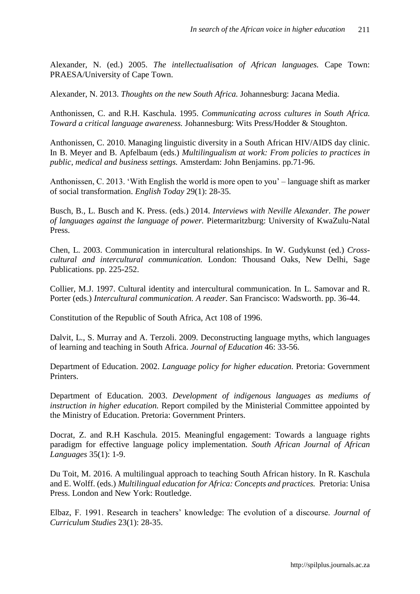Alexander, N. (ed.) 2005. *The intellectualisation of African languages.* Cape Town: PRAESA/University of Cape Town.

Alexander, N. 2013. *Thoughts on the new South Africa.* Johannesburg: Jacana Media.

Anthonissen, C. and R.H. Kaschula. 1995. *Communicating across cultures in South Africa. Toward a critical language awareness.* Johannesburg: Wits Press/Hodder & Stoughton.

Anthonissen, C. 2010. Managing linguistic diversity in a South African HIV/AIDS day clinic. In B. Meyer and B. Apfelbaum (eds.) *Multilingualism at work: From policies to practices in public, medical and business settings.* Amsterdam: John Benjamins. pp.71-96.

Anthonissen, C. 2013. 'With English the world is more open to you' – language shift as marker of social transformation. *English Today* 29(1): 28-35.

Busch, B., L. Busch and K. Press. (eds.) 2014. *Interviews with Neville Alexander. The power of languages against the language of power.* Pietermaritzburg: University of KwaZulu-Natal Press.

Chen, L. 2003. Communication in intercultural relationships. In W. Gudykunst (ed.) *Crosscultural and intercultural communication.* London: Thousand Oaks, New Delhi, Sage Publications. pp. 225-252.

Collier, M.J. 1997. Cultural identity and intercultural communication. In L. Samovar and R. Porter (eds.) *Intercultural communication. A reader.* San Francisco: Wadsworth. pp. 36-44.

Constitution of the Republic of South Africa, Act 108 of 1996.

Dalvit, L., S. Murray and A. Terzoli. 2009. Deconstructing language myths, which languages of learning and teaching in South Africa. *Journal of Education* 46: 33-56.

Department of Education. 2002. *Language policy for higher education.* Pretoria: Government Printers.

Department of Education. 2003. *Development of indigenous languages as mediums of instruction in higher education.* Report compiled by the Ministerial Committee appointed by the Ministry of Education. Pretoria: Government Printers.

Docrat, Z. and R.H Kaschula. 2015. Meaningful engagement: Towards a language rights paradigm for effective language policy implementation. *South African Journal of African Languages* 35(1): 1-9.

Du Toit, M. 2016. A multilingual approach to teaching South African history. In R. Kaschula and E. Wolff. (eds.) *Multilingual education for Africa: Concepts and practices.* Pretoria: Unisa Press. London and New York: Routledge.

Elbaz, F. 1991. Research in teachers' knowledge: The evolution of a discourse. *Journal of Curriculum Studies* 23(1): 28-35.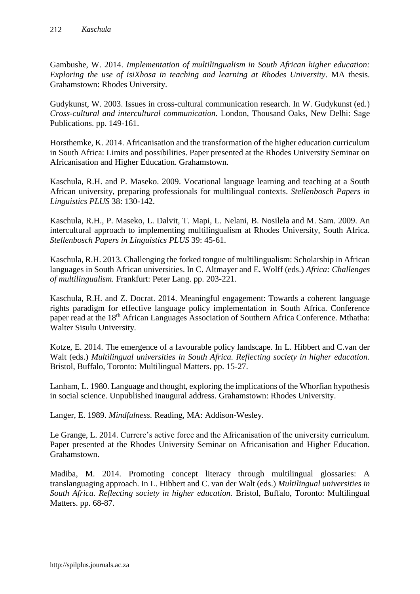Gambushe, W. 2014. *Implementation of multilingualism in South African higher education: Exploring the use of isiXhosa in teaching and learning at Rhodes University*. MA thesis. Grahamstown: Rhodes University.

Gudykunst, W. 2003. Issues in cross-cultural communication research. In W. Gudykunst (ed.) *Cross-cultural and intercultural communication.* London, Thousand Oaks, New Delhi: Sage Publications. pp. 149-161.

Horsthemke, K. 2014. Africanisation and the transformation of the higher education curriculum in South Africa: Limits and possibilities. Paper presented at the Rhodes University Seminar on Africanisation and Higher Education. Grahamstown.

Kaschula, R.H. and P. Maseko. 2009. Vocational language learning and teaching at a South African university, preparing professionals for multilingual contexts. *Stellenbosch Papers in Linguistics PLUS* 38: 130-142.

Kaschula, R.H., P. Maseko, L. Dalvit, T. Mapi, L. Nelani, B. Nosilela and M. Sam. 2009. An intercultural approach to implementing multilingualism at Rhodes University, South Africa. *Stellenbosch Papers in Linguistics PLUS* 39: 45-61.

Kaschula, R.H. 2013. Challenging the forked tongue of multilingualism: Scholarship in African languages in South African universities. In C. Altmayer and E. Wolff (eds.) *Africa: Challenges of multilingualism.* Frankfurt: Peter Lang. pp. 203-221.

Kaschula, R.H. and Z. Docrat. 2014. Meaningful engagement: Towards a coherent language rights paradigm for effective language policy implementation in South Africa. Conference paper read at the 18<sup>th</sup> African Languages Association of Southern Africa Conference. Mthatha: Walter Sisulu University.

Kotze, E. 2014. The emergence of a favourable policy landscape. In L. Hibbert and C.van der Walt (eds.) *Multilingual universities in South Africa. Reflecting society in higher education.* Bristol, Buffalo, Toronto: Multilingual Matters. pp. 15-27.

Lanham, L. 1980. Language and thought, exploring the implications of the Whorfian hypothesis in social science. Unpublished inaugural address. Grahamstown: Rhodes University.

Langer, E. 1989. *Mindfulness.* Reading, MA: Addison-Wesley.

Le Grange, L. 2014. Currere's active force and the Africanisation of the university curriculum. Paper presented at the Rhodes University Seminar on Africanisation and Higher Education. Grahamstown.

Madiba, M. 2014. Promoting concept literacy through multilingual glossaries: A translanguaging approach. In L. Hibbert and C. van der Walt (eds.) *Multilingual universities in South Africa. Reflecting society in higher education.* Bristol, Buffalo, Toronto: Multilingual Matters. pp. 68-87.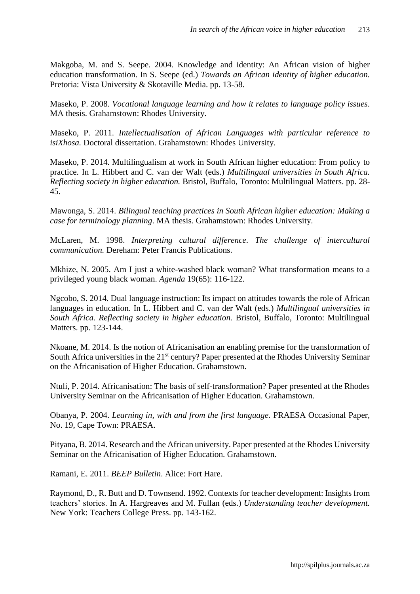Makgoba, M. and S. Seepe. 2004. Knowledge and identity: An African vision of higher education transformation. In S. Seepe (ed.) *Towards an African identity of higher education.*  Pretoria: Vista University & Skotaville Media. pp. 13-58.

Maseko, P. 2008. *Vocational language learning and how it relates to language policy issues*. MA thesis. Grahamstown: Rhodes University.

Maseko, P. 2011. *Intellectualisation of African Languages with particular reference to isiXhosa.* Doctoral dissertation. Grahamstown: Rhodes University.

Maseko, P. 2014. Multilingualism at work in South African higher education: From policy to practice. In L. Hibbert and C. van der Walt (eds.) *Multilingual universities in South Africa. Reflecting society in higher education.* Bristol, Buffalo, Toronto: Multilingual Matters. pp. 28- 45.

Mawonga, S. 2014. *Bilingual teaching practices in South African higher education: Making a case for terminology planning*. MA thesis*.* Grahamstown: Rhodes University.

McLaren, M. 1998. *Interpreting cultural difference. The challenge of intercultural communication.* Dereham: Peter Francis Publications.

Mkhize, N. 2005. Am I just a white-washed black woman? What transformation means to a privileged young black woman. *Agenda* 19(65): 116-122.

Ngcobo, S. 2014. Dual language instruction: Its impact on attitudes towards the role of African languages in education. In L. Hibbert and C. van der Walt (eds.) *Multilingual universities in South Africa. Reflecting society in higher education.* Bristol, Buffalo, Toronto: Multilingual Matters. pp. 123-144.

Nkoane, M. 2014. Is the notion of Africanisation an enabling premise for the transformation of South Africa universities in the 21<sup>st</sup> century? Paper presented at the Rhodes University Seminar on the Africanisation of Higher Education. Grahamstown.

Ntuli, P. 2014. Africanisation: The basis of self-transformation? Paper presented at the Rhodes University Seminar on the Africanisation of Higher Education. Grahamstown.

Obanya, P. 2004. *Learning in, with and from the first language.* PRAESA Occasional Paper, No. 19, Cape Town: PRAESA.

Pityana, B. 2014. Research and the African university. Paper presented at the Rhodes University Seminar on the Africanisation of Higher Education. Grahamstown.

Ramani, E. 2011. *BEEP Bulletin*. Alice: Fort Hare.

Raymond, D., R. Butt and D. Townsend. 1992. Contexts for teacher development: Insights from teachers' stories. In A. Hargreaves and M. Fullan (eds.) *Understanding teacher development.*  New York: Teachers College Press. pp. 143-162.